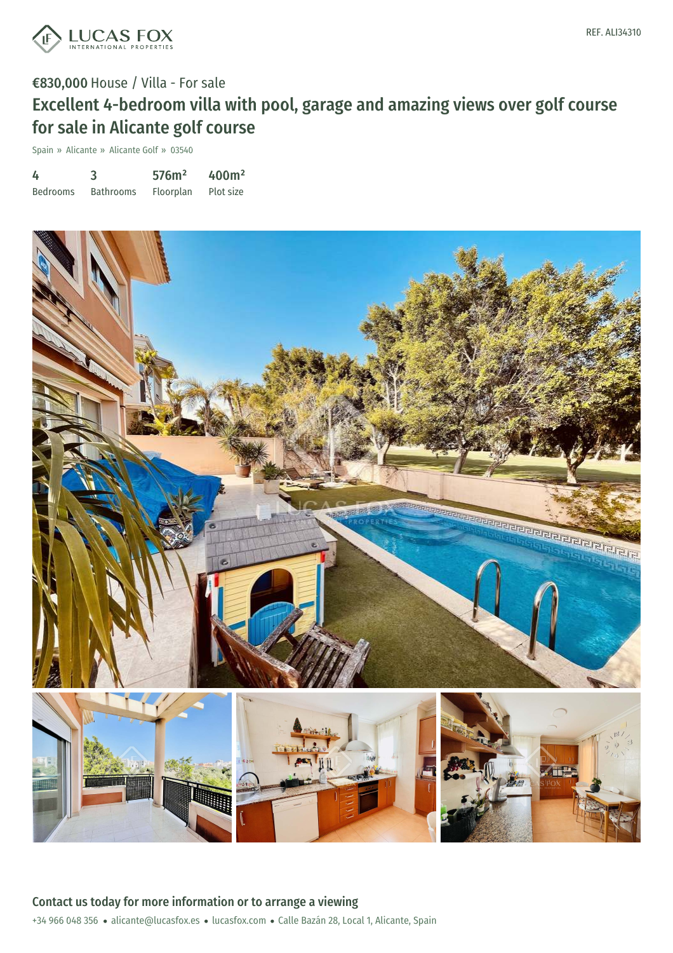

## €830,000 House / Villa - For sale Excellent 4-bedroom villa with pool, garage and amazing views over golf course for sale in Alicante golf course

Spain » Alicante » Alicante Golf » 03540

| 4               | 3                | 576m <sup>2</sup> | 400m <sup>2</sup> |
|-----------------|------------------|-------------------|-------------------|
| <b>Bedrooms</b> | <b>Bathrooms</b> | Floorplan         | Plot size         |

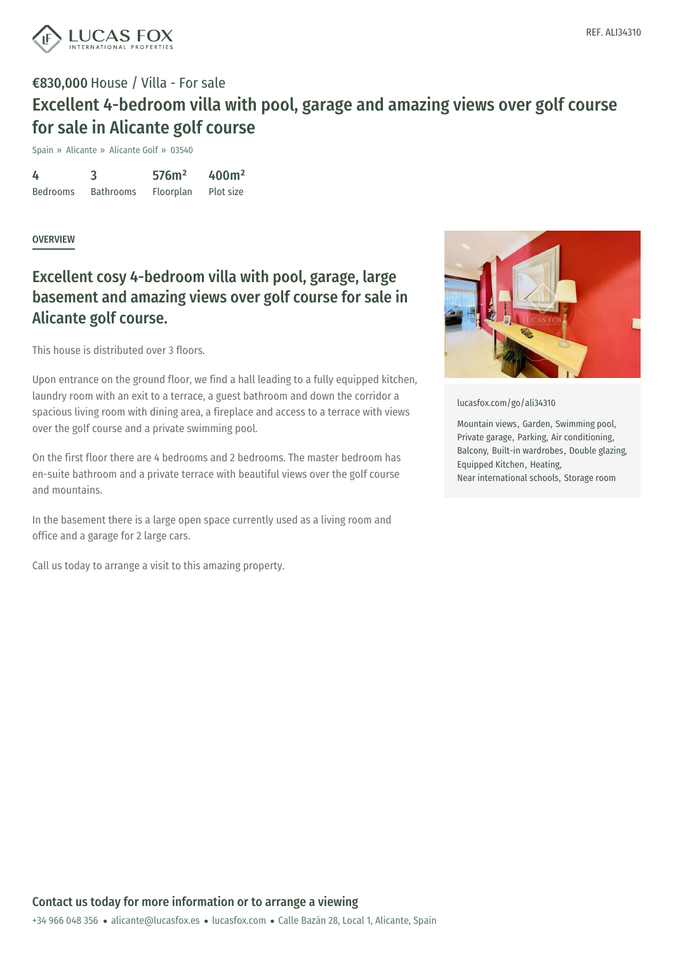

## €830,000 House / Villa - For sale Excellent 4-bedroom villa with pool, garage and amazing views over golf course for sale in Alicante golf course

Spain » Alicante » Alicante Golf » 03540

4 Bedrooms 3 Bathrooms 576m² Floorplan 400m² Plot size

**OVERVIEW** 

## Excellent cosy 4-bedroom villa with pool, garage, large basement and amazing views over golf course for sale in Alicante golf course.

This house is distributed over 3 floors.

Upon entrance on the ground floor, we find a hall leading to a fully equipped kitchen, laundry room with an exit to a terrace, a guest bathroom and down the corridor a spacious living room with dining area, a fireplace and access to a terrace with views over the golf course and a private swimming pool.

On the first floor there are 4 bedrooms and 2 bedrooms. The master bedroom has en-suite bathroom and a private terrace with beautiful views over the golf course and mountains.

In the basement there is a large open space currently used as a living room and office and a garage for 2 large cars.

Call us today to arrange a visit to this amazing property.



[lucasfox.com/go/ali34310](https://www.lucasfox.com/go/ali34310)

Mountain views, Garden, Swimming pool, Private garage, Parking, Air conditioning, Balcony, Built-in wardrobes, Double glazing, Equipped Kitchen, Heating, Near international schools, Storage room